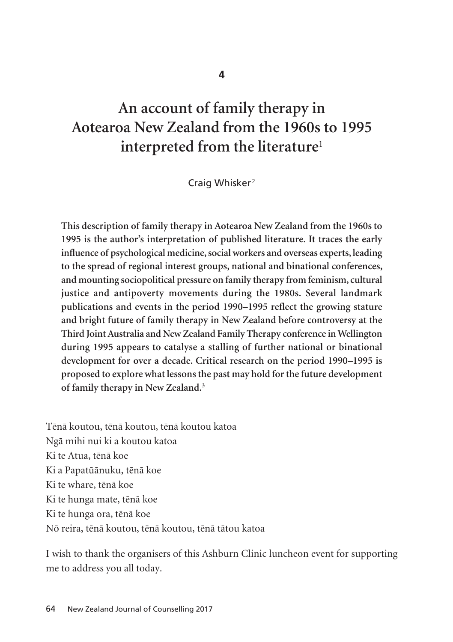**4**

# **An account of family therapy in Aotearoa New Zealand from the 1960s to 1995 interpreted from the literature**<sup>1</sup>

Craig Whisker<sup>2</sup>

**This description of family therapy in Aotearoa New Zealand from the 1960s to 1995 is the author's interpretation of published literature. It traces the early influence of psychological medicine, social workers and overseas experts, leading to the spread of regional interest groups, national and binational conferences, and mounting sociopolitical pressure on family therapy from feminism, cultural justice and antipoverty movements during the 1980s. Several landmark publications and events in the period 1990–1995 reflect the growing stature and bright future of family therapy in New Zealand before controversy at the Third Joint Australia and New Zealand Family Therapy conference in Wellington during 1995 appears to catalyse a stalling of further national or binational development for over a decade. Critical research on the period 1990–1995 is proposed to explore what lessons the past may hold for the future development of family therapy in New Zealand.3**

Tënä koutou, tënä koutou, tënä koutou katoa Ngä mihi nui ki a koutou katoa Ki te Atua, tënä koe Ki a Papatüänuku, tënä koe Ki te whare, tënä koe Ki te hunga mate, tënä koe Ki te hunga ora, tënä koe Nö reira, tënä koutou, tënä koutou, tënä tätou katoa

I wish to thank the organisers of this Ashburn Clinic luncheon event for supporting me to address you all today.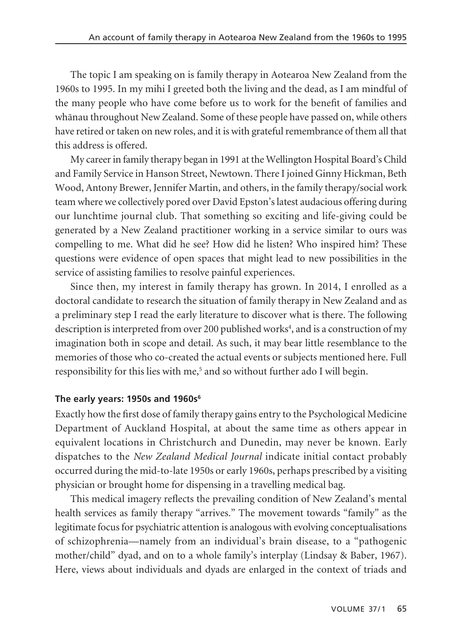The topic I am speaking on is family therapy in Aotearoa New Zealand from the 1960s to 1995. In my mihi I greeted both the living and the dead, as I am mindful of the many people who have come before us to work for the benefit of families and whänau throughout New Zealand. Some of these people have passed on, while others have retired or taken on new roles, and it is with grateful remembrance of them all that this address is offered.

My career in family therapy began in 1991 at the Wellington Hospital Board's Child and Family Service in Hanson Street, Newtown. There I joined Ginny Hickman, Beth Wood, Antony Brewer, Jennifer Martin, and others, in the family therapy/social work team where we collectively pored over David Epston's latest audacious offering during our lunchtime journal club. That something so exciting and life-giving could be generated by a New Zealand practitioner working in a service similar to ours was compelling to me. What did he see? How did he listen? Who inspired him? These questions were evidence of open spaces that might lead to new possibilities in the service of assisting families to resolve painful experiences.

Since then, my interest in family therapy has grown. In 2014, I enrolled as a doctoral candidate to research the situation of family therapy in New Zealand and as a preliminary step I read the early literature to discover what is there. The following description is interpreted from over 200 published works<sup>4</sup>, and is a construction of my imagination both in scope and detail. As such, it may bear little resemblance to the memories of those who co-created the actual events or subjects mentioned here. Full responsibility for this lies with me,<sup>5</sup> and so without further ado I will begin.

## **The early years: 1950s and 1960s6**

Exactly how the first dose of family therapy gains entry to the Psychological Medicine Department of Auckland Hospital, at about the same time as others appear in equivalent locations in Christchurch and Dunedin, may never be known. Early dispatches to the *New Zealand Medical Journal* indicate initial contact probably occurred during the mid-to-late 1950s or early 1960s, perhaps prescribed by a visiting physician or brought home for dispensing in a travelling medical bag.

This medical imagery reflects the prevailing condition of New Zealand's mental health services as family therapy "arrives." The movement towards "family" as the legitimate focus for psychiatric attention is analogous with evolving conceptualisations of schizophrenia—namely from an individual's brain disease, to a "pathogenic mother/child" dyad, and on to a whole family's interplay (Lindsay & Baber, 1967). Here, views about individuals and dyads are enlarged in the context of triads and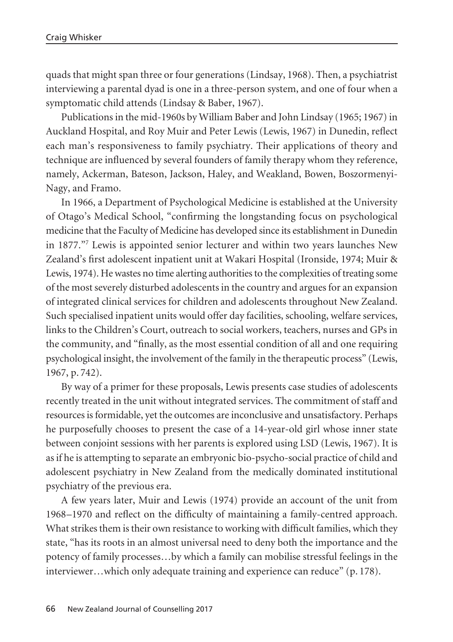quads that might span three or four generations (Lindsay, 1968). Then, a psychiatrist interviewing a parental dyad is one in a three-person system, and one of four when a symptomatic child attends (Lindsay & Baber, 1967).

Publications in the mid-1960s by William Baber and John Lindsay (1965; 1967) in Auckland Hospital, and Roy Muir and Peter Lewis (Lewis, 1967) in Dunedin, reflect each man's responsiveness to family psychiatry. Their applications of theory and technique are influenced by several founders of family therapy whom they reference, namely, Ackerman, Bateson, Jackson, Haley, and Weakland, Bowen, Boszormenyi-Nagy, and Framo.

In 1966, a Department of Psychological Medicine is established at the University of Otago's Medical School, "confirming the longstanding focus on psychological medicine that the Faculty of Medicine has developed since its establishment in Dunedin in 1877."7 Lewis is appointed senior lecturer and within two years launches New Zealand's first adolescent inpatient unit at Wakari Hospital (Ironside, 1974; Muir & Lewis, 1974). He wastes no time alerting authorities to the complexities of treating some of the most severely disturbed adolescents in the country and argues for an expansion of integrated clinical services for children and adolescents throughout New Zealand. Such specialised inpatient units would offer day facilities, schooling, welfare services, links to the Children's Court, outreach to social workers, teachers, nurses and GPs in the community, and "finally, as the most essential condition of all and one requiring psychological insight, the involvement of the family in the therapeutic process" (Lewis, 1967, p. 742).

By way of a primer for these proposals, Lewis presents case studies of adolescents recently treated in the unit without integrated services. The commitment of staff and resources is formidable, yet the outcomes are inconclusive and unsatisfactory. Perhaps he purposefully chooses to present the case of a 14-year-old girl whose inner state between conjoint sessions with her parents is explored using LSD (Lewis, 1967). It is as if he is attempting to separate an embryonic bio-psycho-social practice of child and adolescent psychiatry in New Zealand from the medically dominated institutional psychiatry of the previous era.

A few years later, Muir and Lewis (1974) provide an account of the unit from 1968–1970 and reflect on the difficulty of maintaining a family-centred approach. What strikes them is their own resistance to working with difficult families, which they state, "has its roots in an almost universal need to deny both the importance and the potency of family processes…by which a family can mobilise stressful feelings in the interviewer…which only adequate training and experience can reduce" (p. 178).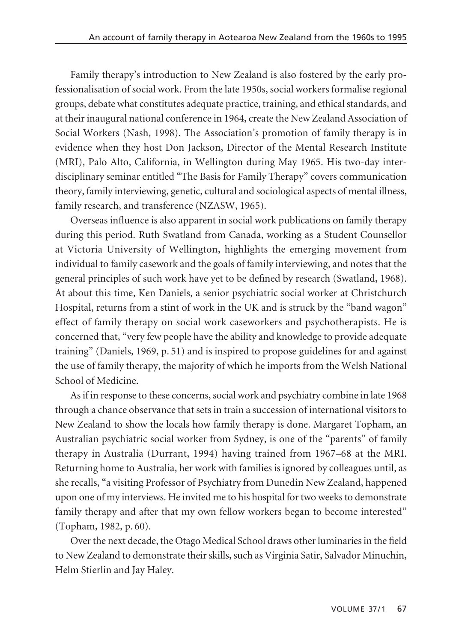Family therapy's introduction to New Zealand is also fostered by the early professionalisation of social work. From the late 1950s, social workers formalise regional groups, debate what constitutes adequate practice, training, and ethical standards, and at their inaugural national conference in 1964, create the New Zealand Association of Social Workers (Nash, 1998). The Association's promotion of family therapy is in evidence when they host Don Jackson, Director of the Mental Research Institute (MRI), Palo Alto, California, in Wellington during May 1965. His two-day interdisciplinary seminar entitled "The Basis for Family Therapy" covers communication theory, family interviewing, genetic, cultural and sociological aspects of mental illness, family research, and transference (NZASW, 1965).

Overseas influence is also apparent in social work publications on family therapy during this period. Ruth Swatland from Canada, working as a Student Counsellor at Victoria University of Wellington, highlights the emerging movement from individual to family casework and the goals of family interviewing, and notes that the general principles of such work have yet to be defined by research (Swatland, 1968). At about this time, Ken Daniels, a senior psychiatric social worker at Christchurch Hospital, returns from a stint of work in the UK and is struck by the "band wagon" effect of family therapy on social work caseworkers and psychotherapists. He is concerned that, "very few people have the ability and knowledge to provide adequate training" (Daniels, 1969, p. 51) and is inspired to propose guidelines for and against the use of family therapy, the majority of which he imports from the Welsh National School of Medicine.

As if in response to these concerns, social work and psychiatry combine in late 1968 through a chance observance that sets in train a succession of international visitors to New Zealand to show the locals how family therapy is done. Margaret Topham, an Australian psychiatric social worker from Sydney, is one of the "parents" of family therapy in Australia (Durrant, 1994) having trained from 1967–68 at the MRI. Returning home to Australia, her work with families is ignored by colleagues until, as she recalls, "a visiting Professor of Psychiatry from Dunedin New Zealand, happened upon one of my interviews. He invited me to his hospital for two weeks to demonstrate family therapy and after that my own fellow workers began to become interested" (Topham, 1982, p. 60).

Over the next decade, the Otago Medical School draws other luminaries in the field to New Zealand to demonstrate their skills, such as Virginia Satir, Salvador Minuchin, Helm Stierlin and Jay Haley.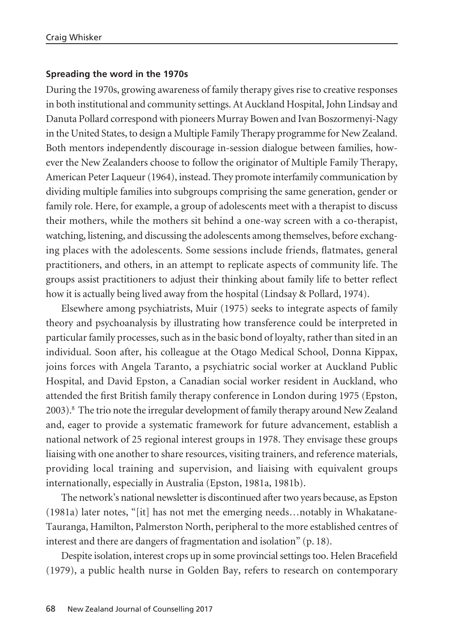#### **Spreading the word in the 1970s**

During the 1970s, growing awareness of family therapy gives rise to creative responses in both institutional and community settings. At Auckland Hospital, John Lindsay and Danuta Pollard correspond with pioneers Murray Bowen and Ivan Boszormenyi-Nagy in the United States, to design a Multiple Family Therapy programme for New Zealand. Both mentors independently discourage in-session dialogue between families, however the New Zealanders choose to follow the originator of Multiple Family Therapy, American Peter Laqueur (1964), instead. They promote interfamily communication by dividing multiple families into subgroups comprising the same generation, gender or family role. Here, for example, a group of adolescents meet with a therapist to discuss their mothers, while the mothers sit behind a one-way screen with a co-therapist, watching, listening, and discussing the adolescents among themselves, before exchanging places with the adolescents. Some sessions include friends, flatmates, general practitioners, and others, in an attempt to replicate aspects of community life. The groups assist practitioners to adjust their thinking about family life to better reflect how it is actually being lived away from the hospital (Lindsay & Pollard, 1974).

Elsewhere among psychiatrists, Muir (1975) seeks to integrate aspects of family theory and psychoanalysis by illustrating how transference could be interpreted in particular family processes, such as in the basic bond of loyalty, rather than sited in an individual. Soon after, his colleague at the Otago Medical School, Donna Kippax, joins forces with Angela Taranto, a psychiatric social worker at Auckland Public Hospital, and David Epston, a Canadian social worker resident in Auckland, who attended the first British family therapy conference in London during 1975 (Epston, 2003).8 The trio note the irregular development of family therapy around New Zealand and, eager to provide a systematic framework for future advancement, establish a national network of 25 regional interest groups in 1978. They envisage these groups liaising with one another to share resources, visiting trainers, and reference materials, providing local training and supervision, and liaising with equivalent groups internationally, especially in Australia (Epston, 1981a, 1981b).

The network's national newsletter is discontinued after two years because, as Epston (1981a) later notes, "[it] has not met the emerging needs…notably in Whakatane-Tauranga, Hamilton, Palmerston North, peripheral to the more established centres of interest and there are dangers of fragmentation and isolation" (p. 18).

Despite isolation, interest crops up in some provincial settings too. Helen Bracefield (1979), a public health nurse in Golden Bay, refers to research on contemporary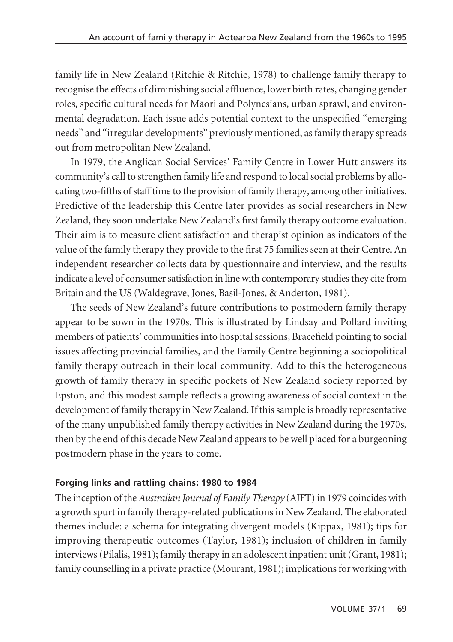family life in New Zealand (Ritchie & Ritchie, 1978) to challenge family therapy to recognise the effects of diminishing social affluence, lower birth rates, changing gender roles, specific cultural needs for Māori and Polynesians, urban sprawl, and environmental degradation. Each issue adds potential context to the unspecified "emerging needs" and "irregular developments" previously mentioned, as family therapy spreads out from metropolitan New Zealand.

In 1979, the Anglican Social Services' Family Centre in Lower Hutt answers its community's call to strengthen family life and respond to local social problems by allocating two-fifths of staff time to the provision of family therapy, among other initiatives. Predictive of the leadership this Centre later provides as social researchers in New Zealand, they soon undertake New Zealand's first family therapy outcome evaluation. Their aim is to measure client satisfaction and therapist opinion as indicators of the value of the family therapy they provide to the first 75 families seen at their Centre. An independent researcher collects data by questionnaire and interview, and the results indicate a level of consumer satisfaction in line with contemporary studies they cite from Britain and the US (Waldegrave, Jones, Basil-Jones, & Anderton, 1981).

The seeds of New Zealand's future contributions to postmodern family therapy appear to be sown in the 1970s. This is illustrated by Lindsay and Pollard inviting members of patients' communities into hospital sessions, Bracefield pointing to social issues affecting provincial families, and the Family Centre beginning a sociopolitical family therapy outreach in their local community. Add to this the heterogeneous growth of family therapy in specific pockets of New Zealand society reported by Epston, and this modest sample reflects a growing awareness of social context in the development of family therapy in New Zealand. If this sample is broadly representative of the many unpublished family therapy activities in New Zealand during the 1970s, then by the end of this decade New Zealand appears to be well placed for a burgeoning postmodern phase in the years to come.

# **Forging links and rattling chains: 1980 to 1984**

The inception of the *Australian Journal of Family Therapy* (AJFT) in 1979 coincides with a growth spurt in family therapy-related publications in New Zealand. The elaborated themes include: a schema for integrating divergent models (Kippax, 1981); tips for improving therapeutic outcomes (Taylor, 1981); inclusion of children in family interviews (Pilalis, 1981); family therapy in an adolescent inpatient unit (Grant, 1981); family counselling in a private practice (Mourant, 1981); implications for working with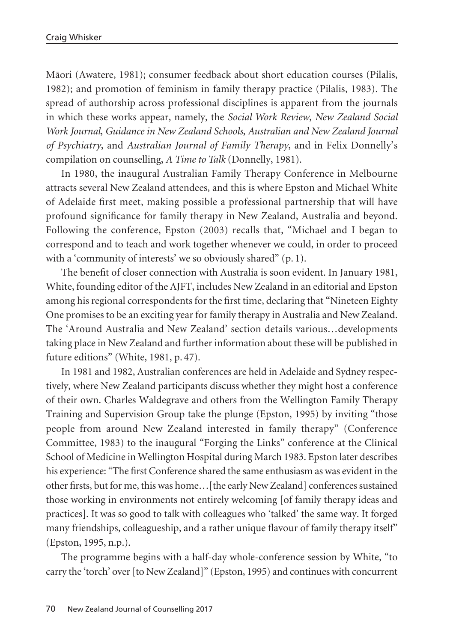Mäori (Awatere, 1981); consumer feedback about short education courses (Pilalis, 1982); and promotion of feminism in family therapy practice (Pilalis, 1983). The spread of authorship across professional disciplines is apparent from the journals in which these works appear, namely, the *Social Work Review*, *New Zealand Social Work Journal*, *Guidance in New Zealand Schools*, *Australian and New Zealand Journal of Psychiatry*, and *Australian Journal of Family Therapy*, and in Felix Donnelly's compilation on counselling, *A Time to Talk* (Donnelly, 1981).

In 1980, the inaugural Australian Family Therapy Conference in Melbourne attracts several New Zealand attendees, and this is where Epston and Michael White of Adelaide first meet, making possible a professional partnership that will have profound significance for family therapy in New Zealand, Australia and beyond. Following the conference, Epston (2003) recalls that, "Michael and I began to correspond and to teach and work together whenever we could, in order to proceed with a 'community of interests' we so obviously shared" (p. 1).

The benefit of closer connection with Australia is soon evident. In January 1981, White, founding editor of the AJFT, includes New Zealand in an editorial and Epston among his regional correspondents for the first time, declaring that "Nineteen Eighty One promises to be an exciting year for family therapy in Australia and New Zealand. The 'Around Australia and New Zealand' section details various…developments taking place in New Zealand and further information about these will be published in future editions" (White, 1981, p. 47).

In 1981 and 1982, Australian conferences are held in Adelaide and Sydney respectively, where New Zealand participants discuss whether they might host a conference of their own. Charles Waldegrave and others from the Wellington Family Therapy Training and Supervision Group take the plunge (Epston, 1995) by inviting "those people from around New Zealand interested in family therapy" (Conference Committee, 1983) to the inaugural "Forging the Links" conference at the Clinical School of Medicine in Wellington Hospital during March 1983. Epston later describes his experience: "The first Conference shared the same enthusiasm as was evident in the other firsts, but for me, this was home…[the early New Zealand] conferences sustained those working in environments not entirely welcoming [of family therapy ideas and practices]. It was so good to talk with colleagues who 'talked' the same way. It forged many friendships, colleagueship, and a rather unique flavour of family therapy itself" (Epston, 1995, n.p.).

The programme begins with a half-day whole-conference session by White, "to carry the 'torch' over [to New Zealand]" (Epston, 1995) and continues with concurrent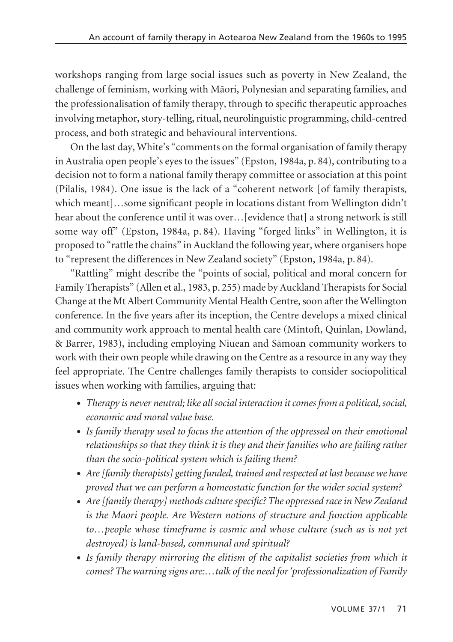workshops ranging from large social issues such as poverty in New Zealand, the challenge of feminism, working with Mäori, Polynesian and separating families, and the professionalisation of family therapy, through to specific therapeutic approaches involving metaphor, story-telling, ritual, neurolinguistic programming, child-centred process, and both strategic and behavioural interventions.

On the last day, White's "comments on the formal organisation of family therapy in Australia open people's eyes to the issues" (Epston, 1984a, p. 84), contributing to a decision not to form a national family therapy committee or association at this point (Pilalis, 1984). One issue is the lack of a "coherent network [of family therapists, which meant]…some significant people in locations distant from Wellington didn't hear about the conference until it was over…[evidence that] a strong network is still some way off" (Epston, 1984a, p. 84). Having "forged links" in Wellington, it is proposed to "rattle the chains" in Auckland the following year, where organisers hope to "represent the differences in New Zealand society" (Epston, 1984a, p. 84).

"Rattling" might describe the "points of social, political and moral concern for Family Therapists" (Allen et al., 1983, p. 255) made by Auckland Therapists for Social Change at the Mt Albert Community Mental Health Centre, soon after the Wellington conference. In the five years after its inception, the Centre develops a mixed clinical and community work approach to mental health care (Mintoft, Quinlan, Dowland, & Barrer, 1983), including employing Niuean and Sämoan community workers to work with their own people while drawing on the Centre as a resource in any way they feel appropriate. The Centre challenges family therapists to consider sociopolitical issues when working with families, arguing that:

- *Therapy is never neutral; like all social interaction it comes from a political, social, economic and moral value base.*
- *Is family therapy used to focus the attention of the oppressed on their emotional relationships so that they think it is they and their families who are failing rather than the socio-political system which is failing them?*
- *Are [family therapists] getting funded, trained and respected at last because we have proved that we can perform a homeostatic function for the wider social system?*
- *Are [family therapy] methods culture specific? The oppressed race in New Zealand is the Maori people. Are Western notions of structure and function applicable to…people whose timeframe is cosmic and whose culture (such as is not yet destroyed) is land-based, communal and spiritual?*
- *Is family therapy mirroring the elitism of the capitalist societies from which it comes? The warning signs are:…talk of the need for 'professionalization of Family*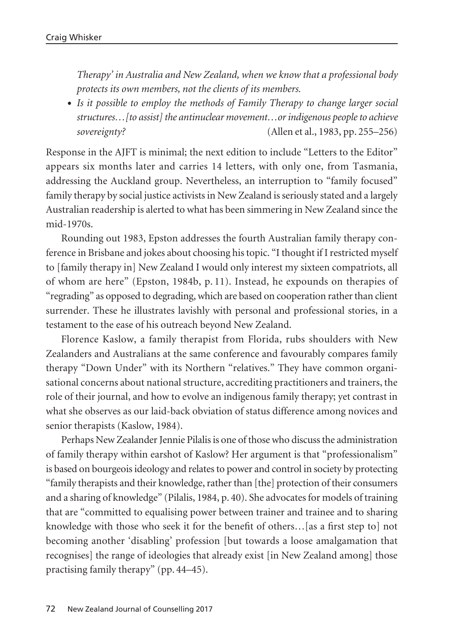*Therapy' in Australia and New Zealand, when we know that a professional body protects its own members, not the clients of its members.*

• *Is it possible to employ the methods of Family Therapy to change larger social structures…[to assist] the antinuclear movement…or indigenous people to achieve sovereignty?* (Allen et al., 1983, pp. 255–256)

Response in the AJFT is minimal; the next edition to include "Letters to the Editor" appears six months later and carries 14 letters, with only one, from Tasmania, addressing the Auckland group. Nevertheless, an interruption to "family focused" family therapy by social justice activists in New Zealand is seriously stated and a largely Australian readership is alerted to what has been simmering in New Zealand since the mid-1970s.

Rounding out 1983, Epston addresses the fourth Australian family therapy conference in Brisbane and jokes about choosing his topic. "I thought if I restricted myself to [family therapy in] New Zealand I would only interest my sixteen compatriots, all of whom are here" (Epston, 1984b, p. 11). Instead, he expounds on therapies of "regrading" as opposed to degrading, which are based on cooperation rather than client surrender. These he illustrates lavishly with personal and professional stories, in a testament to the ease of his outreach beyond New Zealand.

Florence Kaslow, a family therapist from Florida, rubs shoulders with New Zealanders and Australians at the same conference and favourably compares family therapy "Down Under" with its Northern "relatives." They have common organisational concerns about national structure, accrediting practitioners and trainers, the role of their journal, and how to evolve an indigenous family therapy; yet contrast in what she observes as our laid-back obviation of status difference among novices and senior therapists (Kaslow, 1984).

Perhaps New Zealander Jennie Pilalis is one of those who discuss the administration of family therapy within earshot of Kaslow? Her argument is that "professionalism" is based on bourgeois ideology and relates to power and control in society by protecting "family therapists and their knowledge, rather than [the] protection of their consumers and a sharing of knowledge" (Pilalis, 1984, p. 40). She advocates for models of training that are "committed to equalising power between trainer and trainee and to sharing knowledge with those who seek it for the benefit of others…[as a first step to] not becoming another 'disabling' profession [but towards a loose amalgamation that recognises] the range of ideologies that already exist [in New Zealand among] those practising family therapy" (pp. 44–45).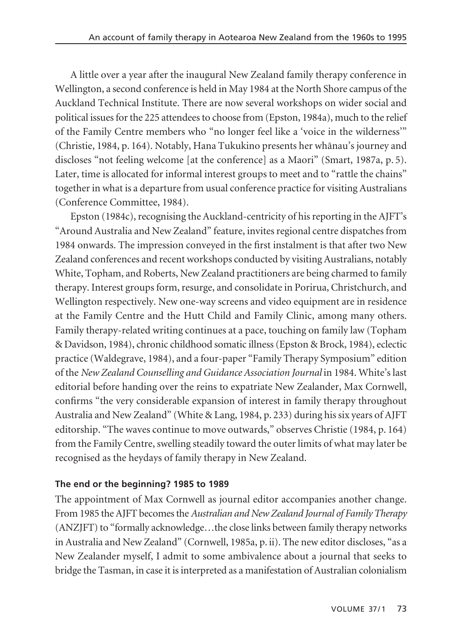A little over a year after the inaugural New Zealand family therapy conference in Wellington, a second conference is held in May 1984 at the North Shore campus of the Auckland Technical Institute. There are now several workshops on wider social and political issues for the 225 attendees to choose from (Epston, 1984a), much to the relief of the Family Centre members who "no longer feel like a 'voice in the wilderness'" (Christie, 1984, p. 164). Notably, Hana Tukukino presents her whänau's journey and discloses "not feeling welcome [at the conference] as a Maori" (Smart, 1987a, p. 5). Later, time is allocated for informal interest groups to meet and to "rattle the chains" together in what is a departure from usual conference practice for visiting Australians (Conference Committee, 1984).

Epston (1984c), recognising the Auckland-centricity of his reporting in the AJFT's "Around Australia and New Zealand" feature, invites regional centre dispatches from 1984 onwards. The impression conveyed in the first instalment is that after two New Zealand conferences and recent workshops conducted by visiting Australians, notably White, Topham, and Roberts, New Zealand practitioners are being charmed to family therapy. Interest groups form, resurge, and consolidate in Porirua, Christchurch, and Wellington respectively. New one-way screens and video equipment are in residence at the Family Centre and the Hutt Child and Family Clinic, among many others. Family therapy-related writing continues at a pace, touching on family law (Topham & Davidson, 1984), chronic childhood somatic illness (Epston & Brock, 1984), eclectic practice (Waldegrave, 1984), and a four-paper "Family Therapy Symposium" edition of the *New Zealand Counselling and Guidance Association Journal* in 1984. White's last editorial before handing over the reins to expatriate New Zealander, Max Cornwell, confirms "the very considerable expansion of interest in family therapy throughout Australia and New Zealand" (White & Lang, 1984, p. 233) during his six years of AJFT editorship. "The waves continue to move outwards," observes Christie (1984, p. 164) from the Family Centre, swelling steadily toward the outer limits of what may later be recognised as the heydays of family therapy in New Zealand.

## **The end or the beginning? 1985 to 1989**

The appointment of Max Cornwell as journal editor accompanies another change. From 1985 the AJFT becomes the *Australian and New Zealand Journal of Family Therapy* (ANZJFT) to "formally acknowledge…the close links between family therapy networks in Australia and New Zealand" (Cornwell, 1985a, p. ii). The new editor discloses, "as a New Zealander myself, I admit to some ambivalence about a journal that seeks to bridge the Tasman, in case it is interpreted as a manifestation of Australian colonialism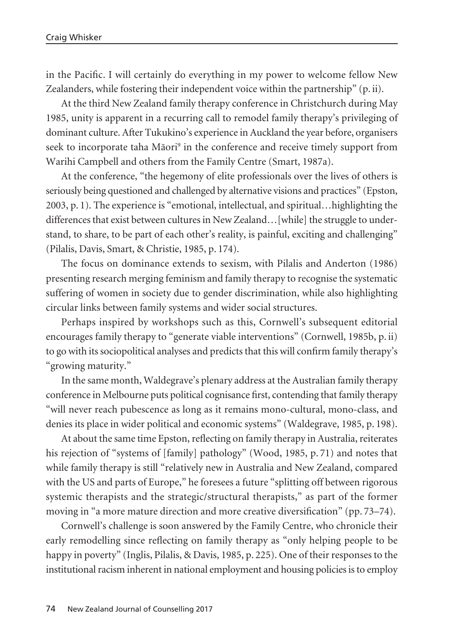in the Pacific. I will certainly do everything in my power to welcome fellow New Zealanders, while fostering their independent voice within the partnership" (p. ii).

At the third New Zealand family therapy conference in Christchurch during May 1985, unity is apparent in a recurring call to remodel family therapy's privileging of dominant culture. After Tukukino's experience in Auckland the year before, organisers seek to incorporate taha Māori<sup>9</sup> in the conference and receive timely support from Warihi Campbell and others from the Family Centre (Smart, 1987a).

At the conference, "the hegemony of elite professionals over the lives of others is seriously being questioned and challenged by alternative visions and practices" (Epston, 2003, p. 1). The experience is "emotional, intellectual, and spiritual…highlighting the differences that exist between cultures in New Zealand... [while] the struggle to understand, to share, to be part of each other's reality, is painful, exciting and challenging" (Pilalis, Davis, Smart, & Christie, 1985, p. 174).

The focus on dominance extends to sexism, with Pilalis and Anderton (1986) presenting research merging feminism and family therapy to recognise the systematic suffering of women in society due to gender discrimination, while also highlighting circular links between family systems and wider social structures.

Perhaps inspired by workshops such as this, Cornwell's subsequent editorial encourages family therapy to "generate viable interventions" (Cornwell, 1985b, p. ii) to go with its sociopolitical analyses and predicts that this will confirm family therapy's "growing maturity."

In the same month, Waldegrave's plenary address at the Australian family therapy conference in Melbourne puts political cognisance first, contending that family therapy "will never reach pubescence as long as it remains mono-cultural, mono-class, and denies its place in wider political and economic systems" (Waldegrave, 1985, p. 198).

At about the same time Epston, reflecting on family therapy in Australia, reiterates his rejection of "systems of [family] pathology" (Wood, 1985, p. 71) and notes that while family therapy is still "relatively new in Australia and New Zealand, compared with the US and parts of Europe," he foresees a future "splitting off between rigorous systemic therapists and the strategic/structural therapists," as part of the former moving in "a more mature direction and more creative diversification" (pp. 73–74).

Cornwell's challenge is soon answered by the Family Centre, who chronicle their early remodelling since reflecting on family therapy as "only helping people to be happy in poverty" (Inglis, Pilalis, & Davis, 1985, p. 225). One of their responses to the institutional racism inherent in national employment and housing policies is to employ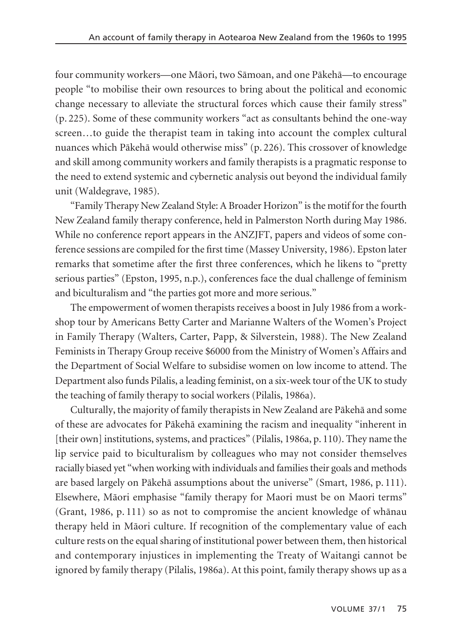four community workers—one Mäori, two Sämoan, and one Päkehä—to encourage people "to mobilise their own resources to bring about the political and economic change necessary to alleviate the structural forces which cause their family stress" (p. 225). Some of these community workers "act as consultants behind the one-way screen…to guide the therapist team in taking into account the complex cultural nuances which Päkehä would otherwise miss" (p. 226). This crossover of knowledge and skill among community workers and family therapists is a pragmatic response to the need to extend systemic and cybernetic analysis out beyond the individual family unit (Waldegrave, 1985).

"Family Therapy New Zealand Style: A Broader Horizon" is the motif for the fourth New Zealand family therapy conference, held in Palmerston North during May 1986. While no conference report appears in the ANZJFT, papers and videos of some conference sessions are compiled for the first time (Massey University, 1986). Epston later remarks that sometime after the first three conferences, which he likens to "pretty serious parties" (Epston, 1995, n.p.), conferences face the dual challenge of feminism and biculturalism and "the parties got more and more serious."

The empowerment of women therapists receives a boost in July 1986 from a workshop tour by Americans Betty Carter and Marianne Walters of the Women's Project in Family Therapy (Walters, Carter, Papp, & Silverstein, 1988). The New Zealand Feminists in Therapy Group receive \$6000 from the Ministry of Women's Affairs and the Department of Social Welfare to subsidise women on low income to attend. The Department also funds Pilalis, a leading feminist, on a six-week tour of the UK to study the teaching of family therapy to social workers (Pilalis, 1986a).

Culturally, the majority of family therapists in New Zealand are Päkehä and some of these are advocates for Päkehä examining the racism and inequality "inherent in [their own] institutions, systems, and practices" (Pilalis, 1986a, p. 110). They name the lip service paid to biculturalism by colleagues who may not consider themselves racially biased yet "when working with individuals and families their goals and methods are based largely on Päkehä assumptions about the universe" (Smart, 1986, p. 111). Elsewhere, Mäori emphasise "family therapy for Maori must be on Maori terms" (Grant, 1986, p. 111) so as not to compromise the ancient knowledge of whänau therapy held in Mäori culture. If recognition of the complementary value of each culture rests on the equal sharing of institutional power between them, then historical and contemporary injustices in implementing the Treaty of Waitangi cannot be ignored by family therapy (Pilalis, 1986a). At this point, family therapy shows up as a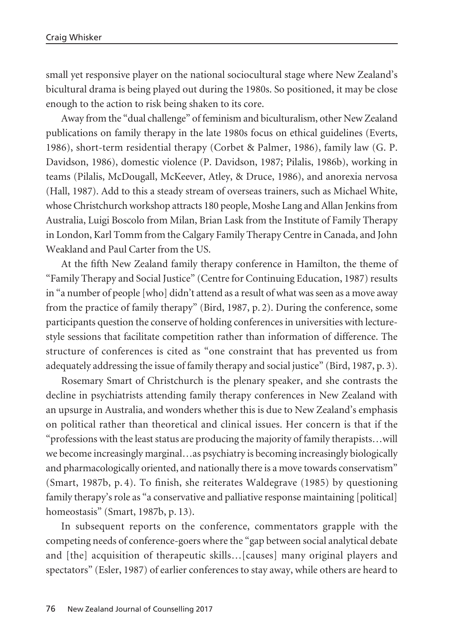small yet responsive player on the national sociocultural stage where New Zealand's bicultural drama is being played out during the 1980s. So positioned, it may be close enough to the action to risk being shaken to its core.

Away from the "dual challenge" of feminism and biculturalism, other New Zealand publications on family therapy in the late 1980s focus on ethical guidelines (Everts, 1986), short-term residential therapy (Corbet & Palmer, 1986), family law (G. P. Davidson, 1986), domestic violence (P. Davidson, 1987; Pilalis, 1986b), working in teams (Pilalis, McDougall, McKeever, Atley, & Druce, 1986), and anorexia nervosa (Hall, 1987). Add to this a steady stream of overseas trainers, such as Michael White, whose Christchurch workshop attracts 180 people, Moshe Lang and Allan Jenkins from Australia, Luigi Boscolo from Milan, Brian Lask from the Institute of Family Therapy in London, Karl Tomm from the Calgary Family Therapy Centre in Canada, and John Weakland and Paul Carter from the US.

At the fifth New Zealand family therapy conference in Hamilton, the theme of "Family Therapy and Social Justice" (Centre for Continuing Education, 1987) results in "a number of people [who] didn't attend as a result of what was seen as a move away from the practice of family therapy" (Bird, 1987, p. 2). During the conference, some participants question the conserve of holding conferences in universities with lecturestyle sessions that facilitate competition rather than information of difference. The structure of conferences is cited as "one constraint that has prevented us from adequately addressing the issue of family therapy and social justice" (Bird, 1987, p. 3).

Rosemary Smart of Christchurch is the plenary speaker, and she contrasts the decline in psychiatrists attending family therapy conferences in New Zealand with an upsurge in Australia, and wonders whether this is due to New Zealand's emphasis on political rather than theoretical and clinical issues. Her concern is that if the "professions with the least status are producing the majority of family therapists…will we become increasingly marginal…as psychiatry is becoming increasingly biologically and pharmacologically oriented, and nationally there is a move towards conservatism" (Smart, 1987b, p. 4). To finish, she reiterates Waldegrave (1985) by questioning family therapy's role as "a conservative and palliative response maintaining [political] homeostasis" (Smart, 1987b, p. 13).

In subsequent reports on the conference, commentators grapple with the competing needs of conference-goers where the "gap between social analytical debate and [the] acquisition of therapeutic skills…[causes] many original players and spectators" (Esler, 1987) of earlier conferences to stay away, while others are heard to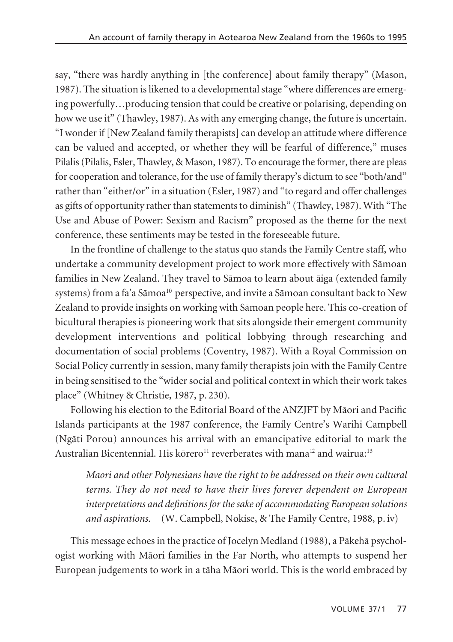say, "there was hardly anything in [the conference] about family therapy" (Mason, 1987). The situation is likened to a developmental stage "where differences are emerging powerfully…producing tension that could be creative or polarising, depending on how we use it" (Thawley, 1987). As with any emerging change, the future is uncertain. "I wonder if [New Zealand family therapists] can develop an attitude where difference can be valued and accepted, or whether they will be fearful of difference," muses Pilalis (Pilalis, Esler, Thawley, & Mason, 1987). To encourage the former, there are pleas for cooperation and tolerance, for the use of family therapy's dictum to see "both/and" rather than "either/or" in a situation (Esler, 1987) and "to regard and offer challenges as gifts of opportunity rather than statements to diminish" (Thawley, 1987). With "The Use and Abuse of Power: Sexism and Racism" proposed as the theme for the next conference, these sentiments may be tested in the foreseeable future.

In the frontline of challenge to the status quo stands the Family Centre staff, who undertake a community development project to work more effectively with Sämoan families in New Zealand. They travel to Sämoa to learn about äiga (extended family systems) from a fa'a Sāmoa<sup>10</sup> perspective, and invite a Sāmoan consultant back to New Zealand to provide insights on working with Sämoan people here. This co-creation of bicultural therapies is pioneering work that sits alongside their emergent community development interventions and political lobbying through researching and documentation of social problems (Coventry, 1987). With a Royal Commission on Social Policy currently in session, many family therapists join with the Family Centre in being sensitised to the "wider social and political context in which their work takes place" (Whitney & Christie, 1987, p. 230).

Following his election to the Editorial Board of the ANZJFT by Mäori and Pacific Islands participants at the 1987 conference, the Family Centre's Warihi Campbell (Ngäti Porou) announces his arrival with an emancipative editorial to mark the Australian Bicentennial. His körero<sup>11</sup> reverberates with mana<sup>12</sup> and wairua:<sup>13</sup>

*Maori and other Polynesians have the right to be addressed on their own cultural terms. They do not need to have their lives forever dependent on European interpretations and definitions for the sake of accommodating European solutions and aspirations.* (W. Campbell, Nokise, & The Family Centre, 1988, p. iv)

This message echoes in the practice of Jocelyn Medland (1988), a Päkehä psychol ogist working with Mäori families in the Far North, who attempts to suspend her European judgements to work in a täha Mäori world. This is the world embraced by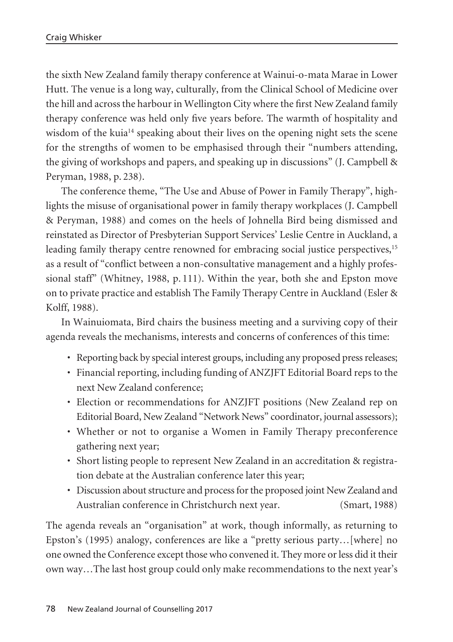the sixth New Zealand family therapy conference at Wainui-o-mata Marae in Lower Hutt. The venue is a long way, culturally, from the Clinical School of Medicine over the hill and across the harbour in Wellington City where the first New Zealand family therapy conference was held only five years before. The warmth of hospitality and wisdom of the kuia<sup>14</sup> speaking about their lives on the opening night sets the scene for the strengths of women to be emphasised through their "numbers attending, the giving of workshops and papers, and speaking up in discussions" (J. Campbell & Peryman, 1988, p. 238).

The conference theme, "The Use and Abuse of Power in Family Therapy", highlights the misuse of organisational power in family therapy workplaces (J. Campbell & Peryman, 1988) and comes on the heels of Johnella Bird being dismissed and reinstated as Director of Presbyterian Support Services' Leslie Centre in Auckland, a leading family therapy centre renowned for embracing social justice perspectives,<sup>15</sup> as a result of "conflict between a non-consultative management and a highly profes sional staff" (Whitney, 1988, p. 111). Within the year, both she and Epston move on to private practice and establish The Family Therapy Centre in Auckland (Esler & Kolff, 1988).

In Wainuiomata, Bird chairs the business meeting and a surviving copy of their agenda reveals the mechanisms, interests and concerns of conferences of this time:

- Reporting back by special interest groups, including any proposed press releases;
- Financial reporting, including funding of ANZJFT Editorial Board reps to the next New Zealand conference;
- Election or recommendations for ANZJFT positions (New Zealand rep on Editorial Board, New Zealand "Network News" coordinator, journal assessors);
- Whether or not to organise a Women in Family Therapy preconference gathering next year;
- Short listing people to represent New Zealand in an accreditation & registration debate at the Australian conference later this year;
- Discussion about structure and process for the proposed joint New Zealand and Australian conference in Christchurch next year. (Smart, 1988)

The agenda reveals an "organisation" at work, though informally, as returning to Epston's (1995) analogy, conferences are like a "pretty serious party…[where] no one owned the Conference except those who convened it. They more or less did it their own way…The last host group could only make recommendations to the next year's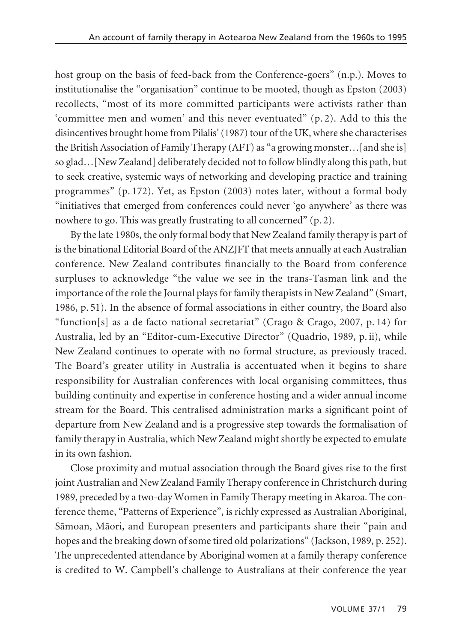host group on the basis of feed-back from the Conference-goers" (n.p.). Moves to institutionalise the "organisation" continue to be mooted, though as Epston (2003) recollects, "most of its more committed participants were activists rather than 'committee men and women' and this never eventuated" (p. 2). Add to this the disincentives brought home from Pilalis' (1987) tour of the UK, where she characterises the British Association of Family Therapy (AFT) as "a growing monster…[and she is] so glad…[New Zealand] deliberately decided not to follow blindly along this path, but to seek creative, systemic ways of networking and developing practice and training programmes" (p. 172). Yet, as Epston (2003) notes later, without a formal body "initiatives that emerged from conferences could never 'go anywhere' as there was nowhere to go. This was greatly frustrating to all concerned" (p. 2).

By the late 1980s, the only formal body that New Zealand family therapy is part of is the binational Editorial Board of the ANZJFT that meets annually at each Australian conference. New Zealand contributes financially to the Board from conference surpluses to acknowledge "the value we see in the trans-Tasman link and the importance of the role the Journal plays for family therapists in New Zealand" (Smart, 1986, p. 51). In the absence of formal associations in either country, the Board also "function[s] as a de facto national secretariat" (Crago & Crago, 2007, p. 14) for Australia, led by an "Editor-cum-Executive Director" (Quadrio, 1989, p. ii), while New Zealand continues to operate with no formal structure, as previously traced. The Board's greater utility in Australia is accentuated when it begins to share responsibility for Australian conferences with local organising committees, thus building continuity and expertise in conference hosting and a wider annual income stream for the Board. This centralised administration marks a significant point of departure from New Zealand and is a progressive step towards the formalisation of family therapy in Australia, which New Zealand might shortly be expected to emulate in its own fashion.

Close proximity and mutual association through the Board gives rise to the first joint Australian and New Zealand Family Therapy conference in Christchurch during 1989, preceded by a two-day Women in Family Therapy meeting in Akaroa. The con ference theme, "Patterns of Experience", is richly expressed as Australian Aboriginal, Sämoan, Mäori, and European presenters and participants share their "pain and hopes and the breaking down of some tired old polarizations" (Jackson, 1989, p. 252). The unprecedented attendance by Aboriginal women at a family therapy conference is credited to W. Campbell's challenge to Australians at their conference the year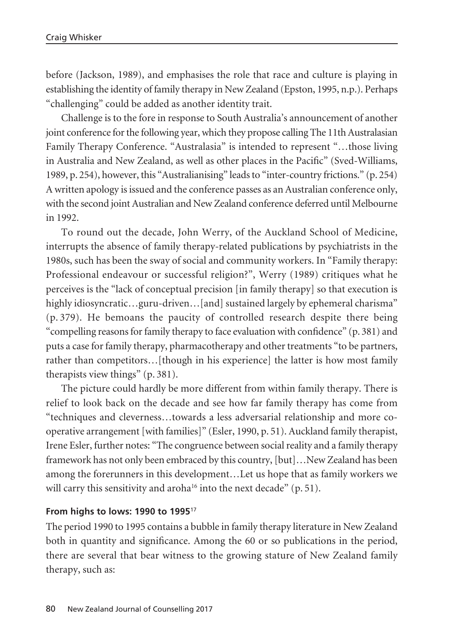before (Jackson, 1989), and emphasises the role that race and culture is playing in establishing the identity of family therapy in New Zealand (Epston, 1995, n.p.). Perhaps "challenging" could be added as another identity trait.

Challenge is to the fore in response to South Australia's announcement of another joint conference for the following year, which they propose calling The 11th Australasian Family Therapy Conference. "Australasia" is intended to represent "…those living in Australia and New Zealand, as well as other places in the Pacific" (Sved-Williams, 1989, p. 254), however, this "Australianising" leads to "inter-country frictions." (p. 254) A written apology is issued and the conference passes as an Australian conference only, with the second joint Australian and New Zealand conference deferred until Melbourne in 1992.

To round out the decade, John Werry, of the Auckland School of Medicine, interrupts the absence of family therapy-related publications by psychiatrists in the 1980s, such has been the sway of social and community workers. In "Family therapy: Professional endeavour or successful religion?", Werry (1989) critiques what he perceives is the "lack of conceptual precision [in family therapy] so that execution is highly idiosyncratic...guru-driven...[and] sustained largely by ephemeral charisma" (p. 379). He bemoans the paucity of controlled research despite there being "compelling reasons for family therapy to face evaluation with confidence" (p. 381) and puts a case for family therapy, pharmacotherapy and other treatments "to be partners, rather than competitors…[though in his experience] the latter is how most family therapists view things" (p. 381).

The picture could hardly be more different from within family therapy. There is relief to look back on the decade and see how far family therapy has come from "techniques and cleverness…towards a less adversarial relationship and more co operative arrangement [with families]" (Esler, 1990, p. 51). Auckland family therapist, Irene Esler, further notes: "The congruence between social reality and a family therapy framework has not only been embraced by this country, [but]…New Zealand has been among the forerunners in this development…Let us hope that as family workers we will carry this sensitivity and aroha<sup>16</sup> into the next decade" (p. 51).

## **From highs to lows: 1990 to 1995**<sup>17</sup>

The period 1990 to 1995 contains a bubble in family therapy literature in New Zealand both in quantity and significance. Among the 60 or so publications in the period, there are several that bear witness to the growing stature of New Zealand family therapy, such as: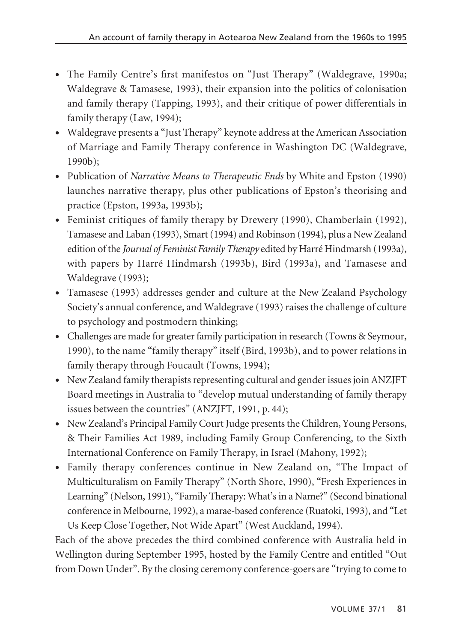- The Family Centre's first manifestos on "Just Therapy" (Waldegrave, 1990a; Waldegrave & Tamasese, 1993), their expansion into the politics of colonisation and family therapy (Tapping, 1993), and their critique of power differentials in family therapy (Law, 1994);
- Waldegrave presents a "Just Therapy" keynote address at the American Association of Marriage and Family Therapy conference in Washington DC (Waldegrave, 1990b);
- Publication of *Narrative Means to Therapeutic Ends* by White and Epston (1990) launches narrative therapy, plus other publications of Epston's theorising and practice (Epston, 1993a, 1993b);
- Feminist critiques of family therapy by Drewery (1990), Chamberlain (1992), Tamasese and Laban (1993), Smart (1994) and Robinson (1994), plus a New Zealand edition of the *Journal of Feminist Family Therapy* edited by Harré Hindmarsh (1993a), with papers by Harré Hindmarsh (1993b), Bird (1993a), and Tamasese and Waldegrave (1993);
- Tamasese (1993) addresses gender and culture at the New Zealand Psychology Society's annual conference, and Waldegrave (1993) raises the challenge of culture to psychology and postmodern thinking;
- Challenges are made for greater family participation in research (Towns & Seymour, 1990), to the name "family therapy" itself (Bird, 1993b), and to power relations in family therapy through Foucault (Towns, 1994);
- New Zealand family therapists representing cultural and gender issues join ANZJFT Board meetings in Australia to "develop mutual understanding of family therapy issues between the countries" (ANZJFT, 1991, p. 44);
- New Zealand's Principal Family Court Judge presents the Children, Young Persons, & Their Families Act 1989, including Family Group Conferencing, to the Sixth International Conference on Family Therapy, in Israel (Mahony, 1992);
- Family therapy conferences continue in New Zealand on, "The Impact of Multiculturalism on Family Therapy" (North Shore, 1990), "Fresh Experiences in Learning" (Nelson, 1991), "Family Therapy: What's in a Name?" (Second binational conference in Melbourne, 1992), a marae-based conference (Ruatoki, 1993), and "Let Us Keep Close Together, Not Wide Apart" (West Auckland, 1994).

Each of the above precedes the third combined conference with Australia held in Wellington during September 1995, hosted by the Family Centre and entitled "Out from Down Under". By the closing ceremony conference-goers are "trying to come to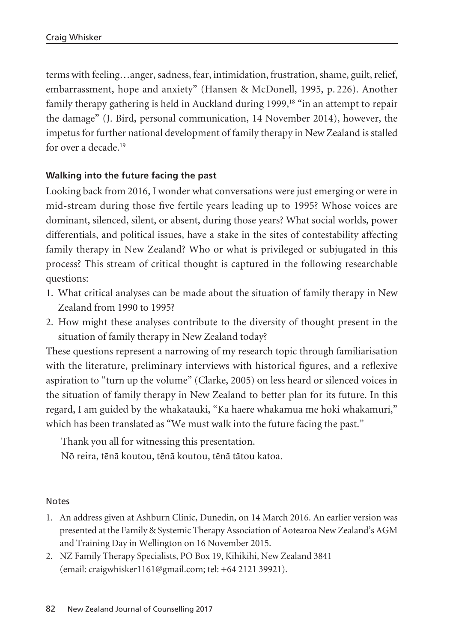terms with feeling…anger, sadness, fear, intimidation, frustration, shame, guilt, relief, embarrassment, hope and anxiety" (Hansen & McDonell, 1995, p. 226). Another family therapy gathering is held in Auckland during 1999,<sup>18</sup> "in an attempt to repair the damage" (J. Bird, personal communication, 14 November 2014), however, the impetus for further national development of family therapy in New Zealand is stalled for over a decade.19

# **Walking into the future facing the past**

Looking back from 2016, I wonder what conversations were just emerging or were in mid-stream during those five fertile years leading up to 1995? Whose voices are dominant, silenced, silent, or absent, during those years? What social worlds, power differentials, and political issues, have a stake in the sites of contestability affecting family therapy in New Zealand? Who or what is privileged or subjugated in this process? This stream of critical thought is captured in the following researchable questions:

- 1. What critical analyses can be made about the situation of family therapy in New Zealand from 1990 to 1995?
- 2. How might these analyses contribute to the diversity of thought present in the situation of family therapy in New Zealand today?

These questions represent a narrowing of my research topic through familiarisation with the literature, preliminary interviews with historical figures, and a reflexive aspiration to "turn up the volume" (Clarke, 2005) on less heard or silenced voices in the situation of family therapy in New Zealand to better plan for its future. In this regard, I am guided by the whakatauki, "Ka haere whakamua me hoki whakamuri," which has been translated as "We must walk into the future facing the past."

Thank you all for witnessing this presentation.

Nö reira, tënä koutou, tënä koutou, tënä tätou katoa.

#### **Notes**

- 1. An address given at Ashburn Clinic, Dunedin, on 14 March 2016. An earlier version was presented at the Family & Systemic Therapy Association of Aotearoa New Zealand's AGM and Training Day in Wellington on 16 November 2015.
- 2. NZ Family Therapy Specialists, PO Box 19, Kihikihi, New Zealand 3841 (email: craigwhisker1161@gmail.com; tel: +64 2121 39921).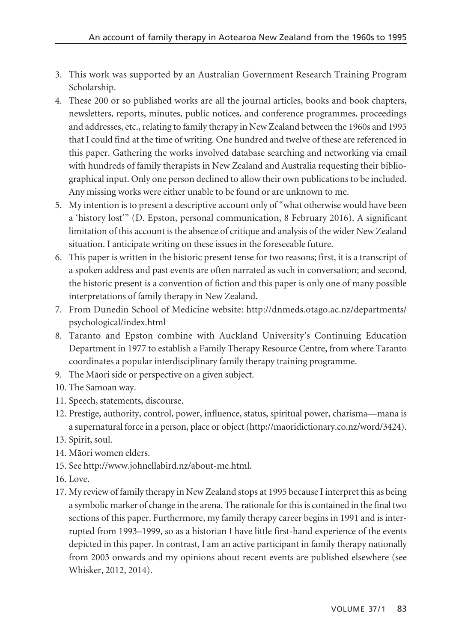- 3. This work was supported by an Australian Government Research Training Program Scholarship.
- 4. These 200 or so published works are all the journal articles, books and book chapters, newsletters, reports, minutes, public notices, and conference programmes, proceedings and addresses, etc., relating to family therapy in New Zealand between the 1960s and 1995 that I could find at the time of writing. One hundred and twelve of these are referenced in this paper. Gathering the works involved database searching and networking via email with hundreds of family therapists in New Zealand and Australia requesting their bibliographical input. Only one person declined to allow their own publications to be included. Any missing works were either unable to be found or are unknown to me.
- 5. My intention is to present a descriptive account only of "what otherwise would have been a 'history lost'" (D. Epston, personal communication, 8 February 2016). A significant limitation of this account is the absence of critique and analysis of the wider New Zealand situation. I anticipate writing on these issues in the foreseeable future.
- 6. This paper is written in the historic present tense for two reasons; first, it is a transcript of a spoken address and past events are often narrated as such in conversation; and second, the historic present is a convention of fiction and this paper is only one of many possible interpretations of family therapy in New Zealand.
- 7. From Dunedin School of Medicine website: http://dnmeds.otago.ac.nz/departments/ psychological/index.html
- 8. Taranto and Epston combine with Auckland University's Continuing Education Department in 1977 to establish a Family Therapy Resource Centre, from where Taranto coordinates a popular interdisciplinary family therapy training programme.
- 9. The Mäori side or perspective on a given subject.
- 10. The Sämoan way.
- 11. Speech, statements, discourse.
- 12. Prestige, authority, control, power, influence, status, spiritual power, charisma—mana is a supernatural force in a person, place or object (http://maoridictionary.co.nz/word/3424).
- 13. Spirit, soul.
- 14. Mäori women elders.
- 15. See http://www.johnellabird.nz/about-me.html.
- 16. Love.
- 17. My review of family therapy in New Zealand stops at 1995 because I interpret this as being a symbolic marker of change in the arena. The rationale for this is contained in the final two sections of this paper. Furthermore, my family therapy career begins in 1991 and is interrupted from 1993–1999, so as a historian I have little first-hand experience of the events depicted in this paper. In contrast, I am an active participant in family therapy nationally from 2003 onwards and my opinions about recent events are published elsewhere (see Whisker, 2012, 2014).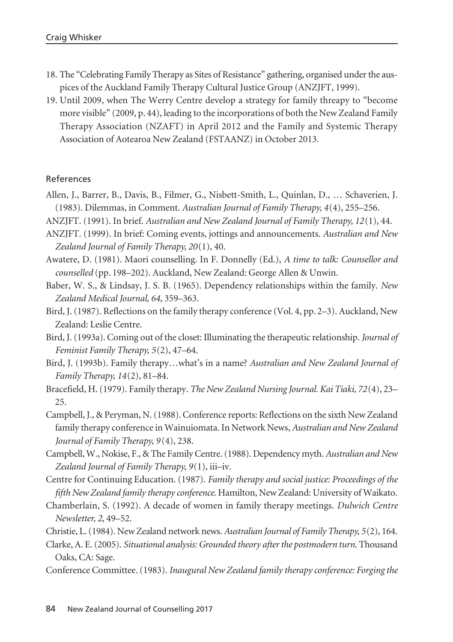- 18. The "Celebrating Family Therapy as Sites of Resistance" gathering, organised under the auspices of the Auckland Family Therapy Cultural Justice Group (ANZJFT, 1999).
- 19. Until 2009, when The Werry Centre develop a strategy for family threapy to "become more visible" (2009, p. 44), leading to the incorporations of both the New Zealand Family Therapy Association (NZAFT) in April 2012 and the Family and Systemic Therapy Association of Aotearoa New Zealand (FSTAANZ) in October 2013.

#### References

- Allen, J., Barrer, B., Davis, B., Filmer, G., Nisbett-Smith, L., Quinlan, D., … Schaverien, J. (1983). Dilemmas, in Comment. *Australian Journal of Family Therapy, 4*(4), 255–256.
- ANZJFT. (1991). In brief. *Australian and New Zealand Journal of Family Therapy, 12*(1), 44.
- ANZJFT. (1999). In brief: Coming events, jottings and announcements. *Australian and New Zealand Journal of Family Therapy, 20*(1), 40.
- Awatere, D. (1981). Maori counselling. In F. Donnelly (Ed.), *A time to talk: Counsellor and counselled* (pp. 198–202). Auckland, New Zealand: George Allen & Unwin.
- Baber, W. S., & Lindsay, J. S. B. (1965). Dependency relationships within the family. *New Zealand Medical Journal, 64*, 359–363.
- Bird, J. (1987). Reflections on the family therapy conference (Vol. 4, pp. 2–3). Auckland, New Zealand: Leslie Centre.
- Bird, J. (1993a). Coming out of the closet: Illuminating the therapeutic relationship. *Journal of Feminist Family Therapy, 5*(2), 47–64.
- Bird, J. (1993b). Family therapy…what's in a name? *Australian and New Zealand Journal of Family Therapy, 14*(2), 81–84.
- Bracefield, H. (1979). Family therapy. *The New Zealand Nursing Journal. Kai Tiaki, 72*(4), 23– 25.
- Campbell, J., & Peryman, N. (1988). Conference reports: Reflections on the sixth New Zealand family therapy conference in Wainuiomata. In Network News, *Australian and New Zealand Journal of Family Therapy, 9* (4), 238.
- Campbell, W., Nokise, F., & The Family Centre. (1988). Dependency myth. *Australian and New Zealand Journal of Family Therapy, 9*(1), iii–iv.
- Centre for Continuing Education. (1987). *Family therapy and social justice: Proceedings of the fifth New Zealand family therapy conference*. Hamilton, New Zealand: University of Waikato.
- Chamberlain, S. (1992). A decade of women in family therapy meetings. *Dulwich Centre Newsletter, 2*, 49–52.
- Christie, L. (1984). New Zealand network news. *Australian Journal of Family Therapy, 5*(2), 164.
- Clarke, A. E. (2005). *Situational analysis: Grounded theory after the postmodern turn*. Thousand Oaks, CA: Sage.
- Conference Committee. (1983). *Inaugural New Zealand family therapy conference: Forging the*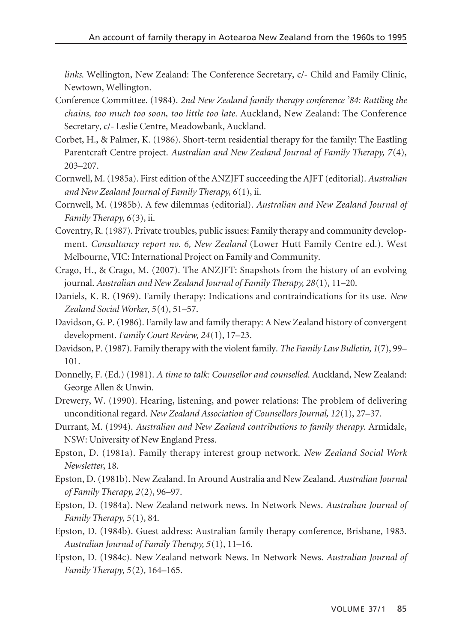*links*. Wellington, New Zealand: The Conference Secretary, c/- Child and Family Clinic, Newtown, Wellington.

- Conference Committee. (1984). *2nd New Zealand family therapy conference '84: Rattling the chains, too much too soon, too little too late*. Auckland, New Zealand: The Conference Secretary, c/- Leslie Centre, Meadowbank, Auckland.
- Corbet, H., & Palmer, K. (1986). Short-term residential therapy for the family: The Eastling Parentcraft Centre project. *Australian and New Zealand Journal of Family Therapy, 7*(4), 203–207.
- Cornwell, M. (1985a). First edition of the ANZJFT succeeding the AJFT (editorial). *Australian and New Zealand Journal of Family Therapy, 6*(1), ii.
- Cornwell, M. (1985b). A few dilemmas (editorial). *Australian and New Zealand Journal of Family Therapy, 6*(3), ii.
- Coventry, R. (1987). Private troubles, public issues: Family therapy and community development. *Consultancy report no. 6, New Zealand* (Lower Hutt Family Centre ed.). West Melbourne, VIC: International Project on Family and Community.
- Crago, H., & Crago, M. (2007). The ANZJFT: Snapshots from the history of an evolving journal. *Australian and New Zealand Journal of Family Therapy, 28*(1), 11–20.
- Daniels, K. R. (1969). Family therapy: Indications and contraindications for its use. *New Zealand Social Worker, 5*(4), 51–57.
- Davidson, G. P. (1986). Family law and family therapy: A New Zealand history of convergent development. *Family Court Review, 24*(1), 17–23.
- Davidson, P. (1987). Family therapy with the violent family. *The Family Law Bulletin, 1*(7), 99– 101.
- Donnelly, F. (Ed.) (1981). *A time to talk: Counsellor and counselled*. Auckland, New Zealand: George Allen & Unwin.
- Drewery, W. (1990). Hearing, listening, and power relations: The problem of delivering unconditional regard. *New Zealand Association of Counsellors Journal, 12*(1), 27–37.
- Durrant, M. (1994). *Australian and New Zealand contributions to family therapy*. Armidale, NSW: University of New England Press.
- Epston, D. (1981a). Family therapy interest group network. *New Zealand Social Work Newsletter*, 18.
- Epston, D. (1981b). New Zealand. In Around Australia and New Zealand. *Australian Journal of Family Therapy, 2*(2), 96–97.
- Epston, D. (1984a). New Zealand network news. In Network News. *Australian Journal of Family Therapy, 5*(1), 84.
- Epston, D. (1984b). Guest address: Australian family therapy conference, Brisbane, 1983. *Australian Journal of Family Therapy, 5*(1), 11–16.
- Epston, D. (1984c). New Zealand network News. In Network News. *Australian Journal of Family Therapy, 5*(2), 164–165.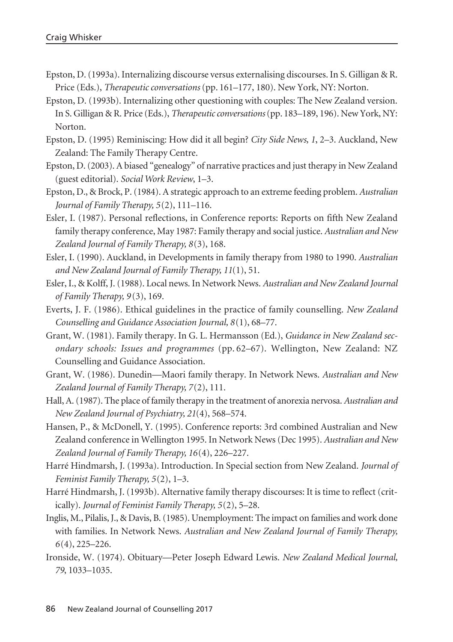- Epston, D. (1993a). Internalizing discourse versus externalising discourses. In S. Gilligan & R. Price (Eds.), *Therapeutic conversations* (pp. 161–177, 180). New York, NY: Norton.
- Epston, D. (1993b). Internalizing other questioning with couples: The New Zealand version. In S. Gilligan & R. Price (Eds.), *Therapeutic conversations*(pp. 183–189, 196). New York, NY: Norton.
- Epston, D. (1995) Reminiscing: How did it all begin? *City Side News, 1*, 2–3. Auckland, New Zealand: The Family Therapy Centre.
- Epston, D. (2003). A biased "genealogy" of narrative practices and just therapy in New Zealand (guest editorial). *Social Work Review*, 1–3.
- Epston, D., & Brock, P. (1984). A strategic approach to an extreme feeding problem. *Australian Journal of Family Therapy, 5*(2), 111–116.
- Esler, I. (1987). Personal reflections, in Conference reports: Reports on fifth New Zealand family therapy conference, May 1987: Family therapy and social justice. *Australian and New Zealand Journal of Family Therapy, 8*(3), 168.
- Esler, I. (1990). Auckland, in Developments in family therapy from 1980 to 1990. *Australian and New Zealand Journal of Family Therapy, 11*(1), 51.
- Esler, I., & Kolff, J. (1988). Local news. In Network News. *Australian and New Zealand Journal of Family Therapy, 9* (3), 169.
- Everts, J. F. (1986). Ethical guidelines in the practice of family counselling. *New Zealand Counselling and Guidance Association Journal, 8*(1), 68–77.
- Grant, W. (1981). Family therapy. In G. L. Hermansson (Ed.), *Guidance in New Zealand secondary schools: Issues and programmes* (pp. 62–67). Wellington, New Zealand: NZ Counselling and Guidance Association.
- Grant, W. (1986). Dunedin—Maori family therapy. In Network News. *Australian and New Zealand Journal of Family Therapy, 7*(2), 111.
- Hall, A. (1987). The place of family therapy in the treatment of anorexia nervosa. *Australian and New Zealand Journal of Psychiatry, 21*(4), 568–574.
- Hansen, P., & McDonell, Y. (1995). Conference reports: 3rd combined Australian and New Zealand conference in Wellington 1995. In Network News (Dec 1995). *Australian and New Zealand Journal of Family Therapy, 16*(4), 226–227.
- Harré Hindmarsh, J. (1993a). Introduction. In Special section from New Zealand. *Journal of Feminist Family Therapy, 5*(2), 1–3.
- Harré Hindmarsh, J. (1993b). Alternative family therapy discourses: It is time to reflect (critically). *Journal of Feminist Family Therapy, 5*(2), 5–28.
- Inglis, M., Pilalis, J., & Davis, B. (1985). Unemployment: The impact on families and work done with families. In Network News. *Australian and New Zealand Journal of Family Therapy, 6*(4), 225–226.
- Ironside, W. (1974). Obituary—Peter Joseph Edward Lewis. *New Zealand Medical Journal, 79*, 1033–1035.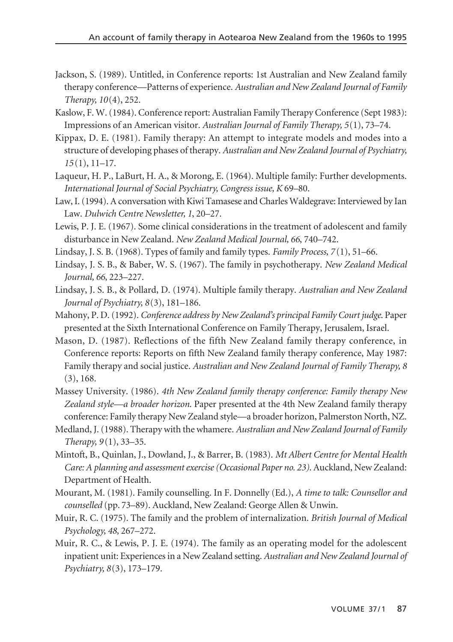- Jackson, S. (1989). Untitled, in Conference reports: 1st Australian and New Zealand family therapy conference—Patterns of experience. *Australian and New Zealand Journal of Family Therapy, 10*(4), 252.
- Kaslow, F. W. (1984). Conference report: Australian Family Therapy Conference (Sept 1983): Impressions of an American visitor. *Australian Journal of Family Therapy, 5*(1), 73–74.
- Kippax, D. E. (1981). Family therapy: An attempt to integrate models and modes into a structure of developing phases of therapy. *Australian and New Zealand Journal of Psychiatry, 15* (1), 11–17.
- Laqueur, H. P., LaBurt, H. A., & Morong, E. (1964). Multiple family: Further developments. *International Journal of Social Psychiatry, Congress issue, K* 69–80.
- Law, I. (1994). A conversation with Kiwi Tamasese and Charles Waldegrave: Interviewed by Ian Law. *Dulwich Centre Newsletter, 1*, 20–27.
- Lewis, P. J. E. (1967). Some clinical considerations in the treatment of adolescent and family disturbance in New Zealand. *New Zealand Medical Journal, 66*, 740–742.
- Lindsay, J. S. B. (1968). Types of family and family types. *Family Process, 7* (1), 51–66.
- Lindsay, J. S. B., & Baber, W. S. (1967). The family in psychotherapy. *New Zealand Medical Journal, 66*, 223–227.
- Lindsay, J. S. B., & Pollard, D. (1974). Multiple family therapy. *Australian and New Zealand Journal of Psychiatry, 8*(3), 181–186.
- Mahony, P. D. (1992). *Conference address by New Zealand's principal Family Court judge*. Paper presented at the Sixth International Conference on Family Therapy, Jerusalem, Israel.
- Mason, D. (1987). Reflections of the fifth New Zealand family therapy conference, in Conference reports: Reports on fifth New Zealand family therapy conference, May 1987: Family therapy and social justice. *Australian and New Zealand Journal of Family Therapy, 8* (3), 168.
- Massey University. (1986). *4th New Zealand family therapy conference: Family therapy New Zealand style—a broader horizon*. Paper presented at the 4th New Zealand family therapy conference: Family therapy New Zealand style—a broader horizon, Palmerston North, NZ.
- Medland, J. (1988). Therapy with the whamere. *Australian and New Zealand Journal of Family Therapy, 9* (1), 33–35.
- Mintoft, B., Quinlan, J., Dowland, J., & Barrer, B. (1983). *Mt Albert Centre for Mental Health Care: A planning and assessment exercise (Occasional Paper no. 23)*. Auckland, New Zealand: Department of Health.
- Mourant, M. (1981). Family counselling. In F. Donnelly (Ed.), *A time to talk: Counsellor and counselled* (pp. 73–89). Auckland, New Zealand: George Allen & Unwin.
- Muir, R. C. (1975). The family and the problem of internalization. *British Journal of Medical Psychology, 48,* 267–272.
- Muir, R. C., & Lewis, P. J. E. (1974). The family as an operating model for the adolescent inpatient unit: Experiences in a New Zealand setting. *Australian and New Zealand Journal of Psychiatry, 8*(3), 173–179.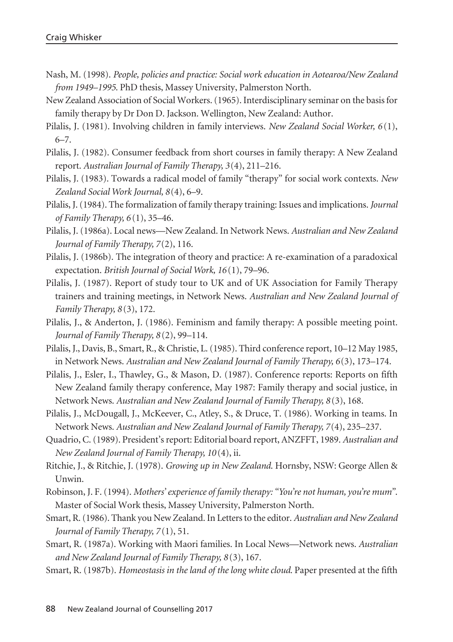- Nash, M. (1998). *People, policies and practice: Social work education in Aotearoa/New Zealand from 1949–1995*. PhD thesis, Massey University, Palmerston North.
- New Zealand Association of Social Workers. (1965). Interdisciplinary seminar on the basis for family therapy by Dr Don D. Jackson. Wellington, New Zealand: Author.
- Pilalis, J. (1981). Involving children in family interviews. *New Zealand Social Worker, 6* (1), 6–7.
- Pilalis, J. (1982). Consumer feedback from short courses in family therapy: A New Zealand report. *Australian Journal of Family Therapy, 3*(4), 211–216.
- Pilalis, J. (1983). Towards a radical model of family "therapy" for social work contexts. *New Zealand Social Work Journal, 8*(4), 6–9.
- Pilalis, J. (1984). The formalization of family therapy training: Issues and implications. *Journal of Family Therapy, 6* (1), 35–46.
- Pilalis, J. (1986a). Local news—New Zealand. In Network News. *Australian and New Zealand Journal of Family Therapy, 7*(2), 116.
- Pilalis, J. (1986b). The integration of theory and practice: A re-examination of a paradoxical expectation. *British Journal of Social Work, 16* (1), 79–96.
- Pilalis, J. (1987). Report of study tour to UK and of UK Association for Family Therapy trainers and training meetings, in Network News. *Australian and New Zealand Journal of Family Therapy, 8* (3), 172.
- Pilalis, J., & Anderton, J. (1986). Feminism and family therapy: A possible meeting point. *Journal of Family Therapy, 8* (2), 99–114.
- Pilalis, J., Davis, B., Smart, R., & Christie, L. (1985). Third conference report, 10–12 May 1985, in Network News. *Australian and New Zealand Journal of Family Therapy, 6*(3), 173–174.
- Pilalis, J., Esler, I., Thawley, G., & Mason, D. (1987). Conference reports: Reports on fifth New Zealand family therapy conference, May 1987: Family therapy and social justice, in Network News. *Australian and New Zealand Journal of Family Therapy, 8* (3), 168.
- Pilalis, J., McDougall, J., McKeever, C., Atley, S., & Druce, T. (1986). Working in teams. In Network News. *Australian and New Zealand Journal of Family Therapy, 7*(4), 235–237.
- Quadrio, C. (1989). President's report: Editorial board report, ANZFFT, 1989. *Australian and New Zealand Journal of Family Therapy, 10* (4), ii.
- Ritchie, J., & Ritchie, J. (1978). *Growing up in New Zealand*. Hornsby, NSW: George Allen & Unwin.
- Robinson, J. F. (1994). *Mothers' experience of family therapy: "You're not human, you're mum"*. Master of Social Work thesis, Massey University, Palmerston North.
- Smart, R. (1986). Thank you New Zealand. In Letters to the editor. *Australian and New Zealand Journal of Family Therapy, 7* (1), 51.
- Smart, R. (1987a). Working with Maori families. In Local News—Network news. *Australian and New Zealand Journal of Family Therapy, 8* (3), 167.
- Smart, R. (1987b). *Homeostasis in the land of the long white cloud*. Paper presented at the fifth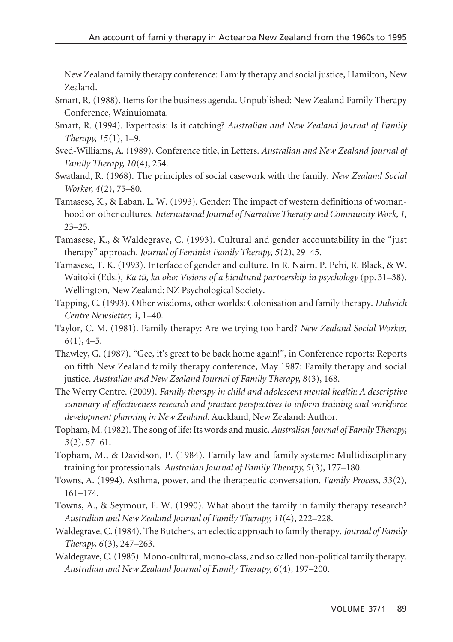New Zealand family therapy conference: Family therapy and social justice, Hamilton, New Zealand.

- Smart, R. (1988). Items for the business agenda. Unpublished: New Zealand Family Therapy Conference, Wainuiomata.
- Smart, R. (1994). Expertosis: Is it catching? *Australian and New Zealand Journal of Family Therapy, 15*(1), 1–9.
- Sved-Williams, A. (1989). Conference title, in Letters. *Australian and New Zealand Journal of Family Therapy, 10*(4), 254.
- Swatland, R. (1968). The principles of social casework with the family. *New Zealand Social Worker, 4*(2), 75–80.
- Tamasese, K., & Laban, L. W. (1993). Gender: The impact of western definitions of womanhood on other cultures. *International Journal of Narrative Therapy and Community Work, 1*, 23–25.
- Tamasese, K., & Waldegrave, C. (1993). Cultural and gender accountability in the "just therapy" approach. *Journal of Feminist Family Therapy, 5*(2), 29–45.
- Tamasese, T. K. (1993). Interface of gender and culture. In R. Nairn, P. Pehi, R. Black, & W. Waitoki (Eds.), *Ka tü, ka oho: Visions of a bicultural partnership in psychology* (pp. 31–38). Wellington, New Zealand: NZ Psychological Society.
- Tapping, C. (1993). Other wisdoms, other worlds: Colonisation and family therapy. *Dulwich Centre Newsletter, 1*, 1–40.
- Taylor, C. M. (1981). Family therapy: Are we trying too hard? *New Zealand Social Worker, 6*(1), 4–5.
- Thawley, G. (1987). "Gee, it's great to be back home again!", in Conference reports: Reports on fifth New Zealand family therapy conference, May 1987: Family therapy and social justice. *Australian and New Zealand Journal of Family Therapy, 8*(3), 168.
- The Werry Centre. (2009). *Family therapy in child and adolescent mental health: A descriptive summary of effectiveness research and practice perspectives to inform training and workforce development planning in New Zealand*. Auckland, New Zealand: Author.
- Topham, M. (1982). The song of life: Its words and music. *Australian Journal of Family Therapy, 3*(2), 57–61.
- Topham, M., & Davidson, P. (1984). Family law and family systems: Multidisciplinary training for professionals. *Australian Journal of Family Therapy, 5*(3), 177–180.
- Towns, A. (1994). Asthma, power, and the therapeutic conversation. *Family Process, 33*(2), 161–174.
- Towns, A., & Seymour, F. W. (1990). What about the family in family therapy research? *Australian and New Zealand Journal of Family Therapy, 11*(4), 222–228.
- Waldegrave, C. (1984). The Butchers, an eclectic approach to family therapy. *Journal of Family Therapy, 6*(3), 247–263.
- Waldegrave, C. (1985). Mono-cultural, mono-class, and so called non-political family therapy. *Australian and New Zealand Journal of Family Therapy, 6*(4), 197–200.